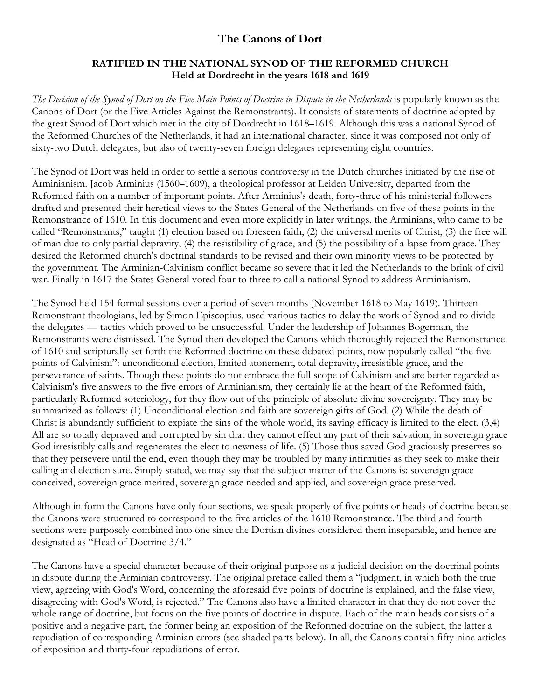# **The Canons of Dort**

# **RATIFIED IN THE NATIONAL SYNOD OF THE REFORMED CHURCH Held at Dordrecht in the years 1618 and 1619**

*The Decision of the Synod of Dort on the Five Main Points of Doctrine in Dispute in the Netherlands* is popularly known as the Canons of Dort (or the Five Articles Against the Remonstrants). It consists of statements of doctrine adopted by the great Synod of Dort which met in the city of Dordrecht in 1618–1619. Although this was a national Synod of the Reformed Churches of the Netherlands, it had an international character, since it was composed not only of sixty-two Dutch delegates, but also of twenty-seven foreign delegates representing eight countries.

The Synod of Dort was held in order to settle a serious controversy in the Dutch churches initiated by the rise of Arminianism. Jacob Arminius (1560–1609), a theological professor at Leiden University, departed from the Reformed faith on a number of important points. After Arminius's death, forty-three of his ministerial followers drafted and presented their heretical views to the States General of the Netherlands on five of these points in the Remonstrance of 1610. In this document and even more explicitly in later writings, the Arminians, who came to be called "Remonstrants," taught (1) election based on foreseen faith, (2) the universal merits of Christ, (3) the free will of man due to only partial depravity, (4) the resistibility of grace, and (5) the possibility of a lapse from grace. They desired the Reformed church's doctrinal standards to be revised and their own minority views to be protected by the government. The Arminian-Calvinism conflict became so severe that it led the Netherlands to the brink of civil war. Finally in 1617 the States General voted four to three to call a national Synod to address Arminianism.

The Synod held 154 formal sessions over a period of seven months (November 1618 to May 1619). Thirteen Remonstrant theologians, led by Simon Episcopius, used various tactics to delay the work of Synod and to divide the delegates — tactics which proved to be unsuccessful. Under the leadership of Johannes Bogerman, the Remonstrants were dismissed. The Synod then developed the Canons which thoroughly rejected the Remonstrance of 1610 and scripturally set forth the Reformed doctrine on these debated points, now popularly called "the five points of Calvinism": unconditional election, limited atonement, total depravity, irresistible grace, and the perseverance of saints. Though these points do not embrace the full scope of Calvinism and are better regarded as Calvinism's five answers to the five errors of Arminianism, they certainly lie at the heart of the Reformed faith, particularly Reformed soteriology, for they flow out of the principle of absolute divine sovereignty. They may be summarized as follows: (1) Unconditional election and faith are sovereign gifts of God. (2) While the death of Christ is abundantly sufficient to expiate the sins of the whole world, its saving efficacy is limited to the elect. (3,4) All are so totally depraved and corrupted by sin that they cannot effect any part of their salvation; in sovereign grace God irresistibly calls and regenerates the elect to newness of life. (5) Those thus saved God graciously preserves so that they persevere until the end, even though they may be troubled by many infirmities as they seek to make their calling and election sure. Simply stated, we may say that the subject matter of the Canons is: sovereign grace conceived, sovereign grace merited, sovereign grace needed and applied, and sovereign grace preserved.

Although in form the Canons have only four sections, we speak properly of five points or heads of doctrine because the Canons were structured to correspond to the five articles of the 1610 Remonstrance. The third and fourth sections were purposely combined into one since the Dortian divines considered them inseparable, and hence are designated as "Head of Doctrine 3/4."

The Canons have a special character because of their original purpose as a judicial decision on the doctrinal points in dispute during the Arminian controversy. The original preface called them a "judgment, in which both the true view, agreeing with God's Word, concerning the aforesaid five points of doctrine is explained, and the false view, disagreeing with God's Word, is rejected." The Canons also have a limited character in that they do not cover the whole range of doctrine, but focus on the five points of doctrine in dispute. Each of the main heads consists of a positive and a negative part, the former being an exposition of the Reformed doctrine on the subject, the latter a repudiation of corresponding Arminian errors (see shaded parts below). In all, the Canons contain fifty-nine articles of exposition and thirty-four repudiations of error.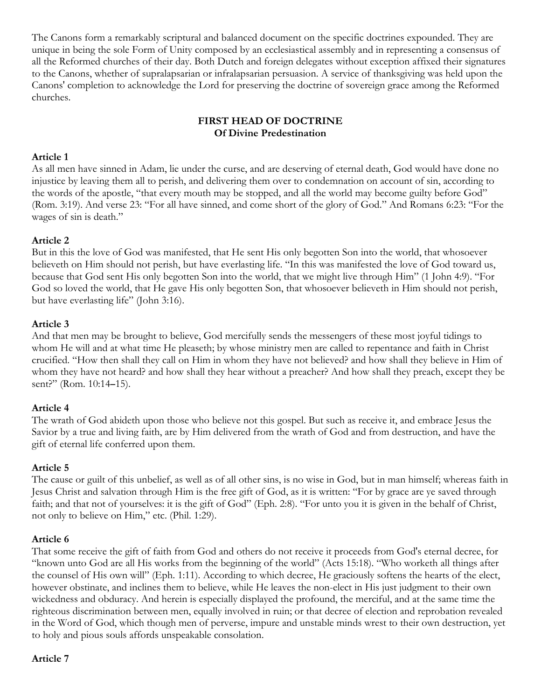The Canons form a remarkably scriptural and balanced document on the specific doctrines expounded. They are unique in being the sole Form of Unity composed by an ecclesiastical assembly and in representing a consensus of all the Reformed churches of their day. Both Dutch and foreign delegates without exception affixed their signatures to the Canons, whether of supralapsarian or infralapsarian persuasion. A service of thanksgiving was held upon the Canons' completion to acknowledge the Lord for preserving the doctrine of sovereign grace among the Reformed churches.

# **FIRST HEAD OF DOCTRINE Of Divine Predestination**

## **Article 1**

As all men have sinned in Adam, lie under the curse, and are deserving of eternal death, God would have done no injustice by leaving them all to perish, and delivering them over to condemnation on account of sin, according to the words of the apostle, "that every mouth may be stopped, and all the world may become guilty before God" (Rom. 3:19). And verse 23: "For all have sinned, and come short of the glory of God." And Romans 6:23: "For the wages of sin is death."

## **Article 2**

But in this the love of God was manifested, that He sent His only begotten Son into the world, that whosoever believeth on Him should not perish, but have everlasting life. "In this was manifested the love of God toward us, because that God sent His only begotten Son into the world, that we might live through Him" (1 John 4:9). "For God so loved the world, that He gave His only begotten Son, that whosoever believeth in Him should not perish, but have everlasting life" (John 3:16).

## **Article 3**

And that men may be brought to believe, God mercifully sends the messengers of these most joyful tidings to whom He will and at what time He pleaseth; by whose ministry men are called to repentance and faith in Christ crucified. "How then shall they call on Him in whom they have not believed? and how shall they believe in Him of whom they have not heard? and how shall they hear without a preacher? And how shall they preach, except they be sent?" (Rom. 10:14-15).

# **Article 4**

The wrath of God abideth upon those who believe not this gospel. But such as receive it, and embrace Jesus the Savior by a true and living faith, are by Him delivered from the wrath of God and from destruction, and have the gift of eternal life conferred upon them.

## **Article 5**

The cause or guilt of this unbelief, as well as of all other sins, is no wise in God, but in man himself; whereas faith in Jesus Christ and salvation through Him is the free gift of God, as it is written: "For by grace are ye saved through faith; and that not of yourselves: it is the gift of God" (Eph. 2:8). "For unto you it is given in the behalf of Christ, not only to believe on Him," etc. (Phil. 1:29).

## **Article 6**

That some receive the gift of faith from God and others do not receive it proceeds from God's eternal decree, for "known unto God are all His works from the beginning of the world" (Acts 15:18). "Who worketh all things after the counsel of His own will" (Eph. 1:11). According to which decree, He graciously softens the hearts of the elect, however obstinate, and inclines them to believe, while He leaves the non-elect in His just judgment to their own wickedness and obduracy. And herein is especially displayed the profound, the merciful, and at the same time the righteous discrimination between men, equally involved in ruin; or that decree of election and reprobation revealed in the Word of God, which though men of perverse, impure and unstable minds wrest to their own destruction, yet to holy and pious souls affords unspeakable consolation.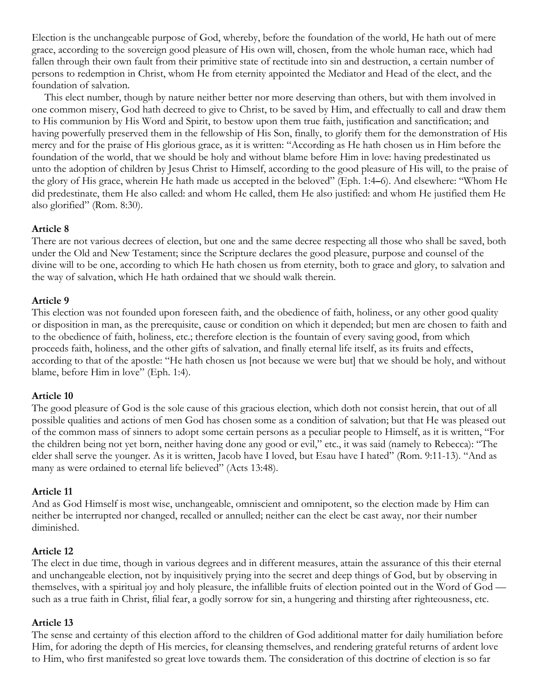Election is the unchangeable purpose of God, whereby, before the foundation of the world, He hath out of mere grace, according to the sovereign good pleasure of His own will, chosen, from the whole human race, which had fallen through their own fault from their primitive state of rectitude into sin and destruction, a certain number of persons to redemption in Christ, whom He from eternity appointed the Mediator and Head of the elect, and the foundation of salvation.

This elect number, though by nature neither better nor more deserving than others, but with them involved in one common misery, God hath decreed to give to Christ, to be saved by Him, and effectually to call and draw them to His communion by His Word and Spirit, to bestow upon them true faith, justification and sanctification; and having powerfully preserved them in the fellowship of His Son, finally, to glorify them for the demonstration of His mercy and for the praise of His glorious grace, as it is written: "According as He hath chosen us in Him before the foundation of the world, that we should be holy and without blame before Him in love: having predestinated us unto the adoption of children by Jesus Christ to Himself, according to the good pleasure of His will, to the praise of the glory of His grace, wherein He hath made us accepted in the beloved" (Eph. 1:4–6). And elsewhere: "Whom He did predestinate, them He also called: and whom He called, them He also justified: and whom He justified them He also glorified" (Rom. 8:30).

## **Article 8**

There are not various decrees of election, but one and the same decree respecting all those who shall be saved, both under the Old and New Testament; since the Scripture declares the good pleasure, purpose and counsel of the divine will to be one, according to which He hath chosen us from eternity, both to grace and glory, to salvation and the way of salvation, which He hath ordained that we should walk therein.

### **Article 9**

This election was not founded upon foreseen faith, and the obedience of faith, holiness, or any other good quality or disposition in man, as the prerequisite, cause or condition on which it depended; but men are chosen to faith and to the obedience of faith, holiness, etc.; therefore election is the fountain of every saving good, from which proceeds faith, holiness, and the other gifts of salvation, and finally eternal life itself, as its fruits and effects, according to that of the apostle: "He hath chosen us [not because we were but] that we should be holy, and without blame, before Him in love" (Eph. 1:4).

### **Article 10**

The good pleasure of God is the sole cause of this gracious election, which doth not consist herein, that out of all possible qualities and actions of men God has chosen some as a condition of salvation; but that He was pleased out of the common mass of sinners to adopt some certain persons as a peculiar people to Himself, as it is written, "For the children being not yet born, neither having done any good or evil," etc., it was said (namely to Rebecca): "The elder shall serve the younger. As it is written, Jacob have I loved, but Esau have I hated" (Rom. 9:11-13). "And as many as were ordained to eternal life believed" (Acts 13:48).

### **Article 11**

And as God Himself is most wise, unchangeable, omniscient and omnipotent, so the election made by Him can neither be interrupted nor changed, recalled or annulled; neither can the elect be cast away, nor their number diminished.

### **Article 12**

The elect in due time, though in various degrees and in different measures, attain the assurance of this their eternal and unchangeable election, not by inquisitively prying into the secret and deep things of God, but by observing in themselves, with a spiritual joy and holy pleasure, the infallible fruits of election pointed out in the Word of God such as a true faith in Christ, filial fear, a godly sorrow for sin, a hungering and thirsting after righteousness, etc.

### **Article 13**

The sense and certainty of this election afford to the children of God additional matter for daily humiliation before Him, for adoring the depth of His mercies, for cleansing themselves, and rendering grateful returns of ardent love to Him, who first manifested so great love towards them. The consideration of this doctrine of election is so far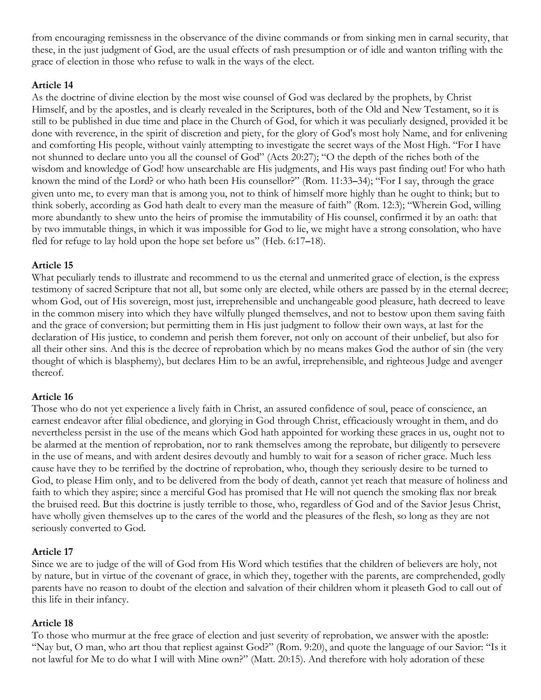from encouraging remissness in the observance of the divine commands or from sinking men in carnal security, that these, in the just judgment of God, are the usual effects of rash presumption or of idle and wanton trifling with the grace of election in those who refuse to walk in the ways of the elect.

## **Article 14**

As the doctrine of divine election by the most wise counsel of God was declared by the prophets, by Christ Himself, and by the apostles, and is clearly revealed in the Scriptures, both of the Old and New Testament, so it is still to be published in due time and place in the Church of God, for which it was peculiarly designed, provided it be done with reverence, in the spirit of discretion and piety, for the glory of God's most holy Name, and for enlivening and comforting His people, without vainly attempting to investigate the secret ways of the Most High. "For I have not shunned to declare unto you all the counsel of God" (Acts 20:27); "O the depth of the riches both of the wisdom and knowledge of God! how unsearchable are His judgments, and His ways past finding out! For who hath known the mind of the Lord? or who hath been His counsellor?" (Rom. 11:33–34); "For I say, through the grace given unto me, to every man that is among you, not to think of himself more highly than he ought to think; but to think soberly, according as God hath dealt to every man the measure of faith" (Rom. 12:3); "Wherein God, willing more abundantly to shew unto the heirs of promise the immutability of His counsel, confirmed it by an oath: that by two immutable things, in which it was impossible for God to lie, we might have a strong consolation, who have fled for refuge to lay hold upon the hope set before us" (Heb. 6:17–18).

## **Article 15**

What peculiarly tends to illustrate and recommend to us the eternal and unmerited grace of election, is the express testimony of sacred Scripture that not all, but some only are elected, while others are passed by in the eternal decree; whom God, out of His sovereign, most just, irreprehensible and unchangeable good pleasure, hath decreed to leave in the common misery into which they have wilfully plunged themselves, and not to bestow upon them saving faith and the grace of conversion; but permitting them in His just judgment to follow their own ways, at last for the declaration of His justice, to condemn and perish them forever, not only on account of their unbelief, but also for all their other sins. And this is the decree of reprobation which by no means makes God the author of sin (the very thought of which is blasphemy), but declares Him to be an awful, irreprehensible, and righteous Judge and avenger thereof.

## **Article 16**

Those who do not yet experience a lively faith in Christ, an assured confidence of soul, peace of conscience, an earnest endeavor after filial obedience, and glorying in God through Christ, efficaciously wrought in them, and do nevertheless persist in the use of the means which God hath appointed for working these graces in us, ought not to be alarmed at the mention of reprobation, nor to rank themselves among the reprobate, but diligently to persevere in the use of means, and with ardent desires devoutly and humbly to wait for a season of richer grace. Much less cause have they to be terrified by the doctrine of reprobation, who, though they seriously desire to be turned to God, to please Him only, and to be delivered from the body of death, cannot yet reach that measure of holiness and faith to which they aspire; since a merciful God has promised that He will not quench the smoking flax nor break the bruised reed. But this doctrine is justly terrible to those, who, regardless of God and of the Savior Jesus Christ, have wholly given themselves up to the cares of the world and the pleasures of the flesh, so long as they are not seriously converted to God.

# **Article 17**

Since we are to judge of the will of God from His Word which testifies that the children of believers are holy, not by nature, but in virtue of the covenant of grace, in which they, together with the parents, are comprehended, godly parents have no reason to doubt of the election and salvation of their children whom it pleaseth God to call out of this life in their infancy.

## **Article 18**

To those who murmur at the free grace of election and just severity of reprobation, we answer with the apostle: "Nay but, O man, who art thou that repliest against God?" (Rom. 9:20), and quote the language of our Savior: "Is it not lawful for Me to do what I will with Mine own?" (Matt. 20:15). And therefore with holy adoration of these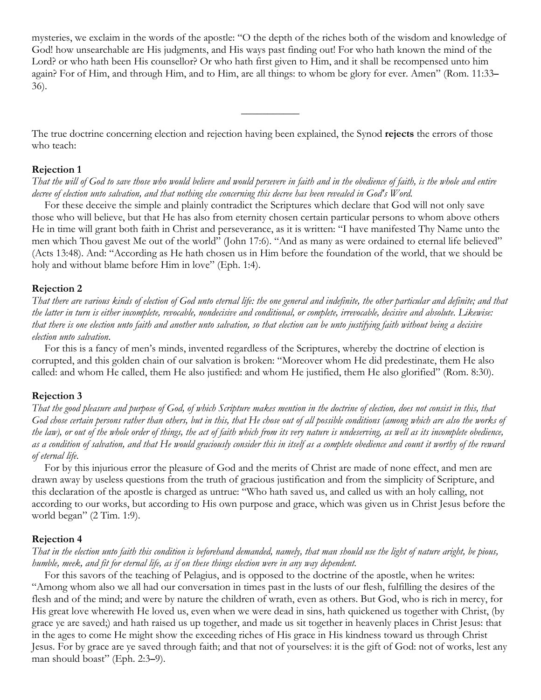mysteries, we exclaim in the words of the apostle: "O the depth of the riches both of the wisdom and knowledge of God! how unsearchable are His judgments, and His ways past finding out! For who hath known the mind of the Lord? or who hath been His counsellor? Or who hath first given to Him, and it shall be recompensed unto him again? For of Him, and through Him, and to Him, are all things: to whom be glory for ever. Amen" (Rom. 11:33– 36).

 $\overline{\phantom{a}}$  , where  $\overline{\phantom{a}}$ 

The true doctrine concerning election and rejection having been explained, the Synod **rejects** the errors of those who teach:

### **Rejection 1**

*That the will of God to save those who would believe and would persevere in faith and in the obedience of faith, is the whole and entire decree of election unto salvation, and that nothing else concerning this decree has been revealed in God's Word.* 

For these deceive the simple and plainly contradict the Scriptures which declare that God will not only save those who will believe, but that He has also from eternity chosen certain particular persons to whom above others He in time will grant both faith in Christ and perseverance, as it is written: "I have manifested Thy Name unto the men which Thou gavest Me out of the world" (John 17:6). "And as many as were ordained to eternal life believed" (Acts 13:48). And: "According as He hath chosen us in Him before the foundation of the world, that we should be holy and without blame before Him in love" (Eph. 1:4).

### **Rejection 2**

*That there are various kinds of election of God unto eternal life: the one general and indefinite, the other particular and definite; and that the latter in turn is either incomplete, revocable, nondecisive and conditional, or complete, irrevocable, decisive and absolute. Likewise: that there is one election unto faith and another unto salvation, so that election can be unto justifying faith without being a decisive election unto salvation*.

For this is a fancy of men's minds, invented regardless of the Scriptures, whereby the doctrine of election is corrupted, and this golden chain of our salvation is broken: "Moreover whom He did predestinate, them He also called: and whom He called, them He also justified: and whom He justified, them He also glorified" (Rom. 8:30).

#### **Rejection 3**

*That the good pleasure and purpose of God, of which Scripture makes mention in the doctrine of election, does not consist in this, that God chose certain persons rather than others, but in this, that He chose out of all possible conditions (among which are also the works of the law), or out of the whole order of things, the act of faith which from its very nature is undeserving, as well as its incomplete obedience, as a condition of salvation, and that He would graciously consider this in itself as a complete obedience and count it worthy of the reward of eternal life*.

For by this injurious error the pleasure of God and the merits of Christ are made of none effect, and men are drawn away by useless questions from the truth of gracious justification and from the simplicity of Scripture, and this declaration of the apostle is charged as untrue: "Who hath saved us, and called us with an holy calling, not according to our works, but according to His own purpose and grace, which was given us in Christ Jesus before the world began" (2 Tim. 1:9).

### **Rejection 4**

*That in the election unto faith this condition is beforehand demanded, namely, that man should use the light of nature aright, be pious, humble, meek, and fit for eternal life, as if on these things election were in any way dependent.*

For this savors of the teaching of Pelagius, and is opposed to the doctrine of the apostle, when he writes: "Among whom also we all had our conversation in times past in the lusts of our flesh, fulfilling the desires of the flesh and of the mind; and were by nature the children of wrath, even as others. But God, who is rich in mercy, for His great love wherewith He loved us, even when we were dead in sins, hath quickened us together with Christ, (by grace ye are saved;) and hath raised us up together, and made us sit together in heavenly places in Christ Jesus: that in the ages to come He might show the exceeding riches of His grace in His kindness toward us through Christ Jesus. For by grace are ye saved through faith; and that not of yourselves: it is the gift of God: not of works, lest any man should boast" (Eph. 2:3–9).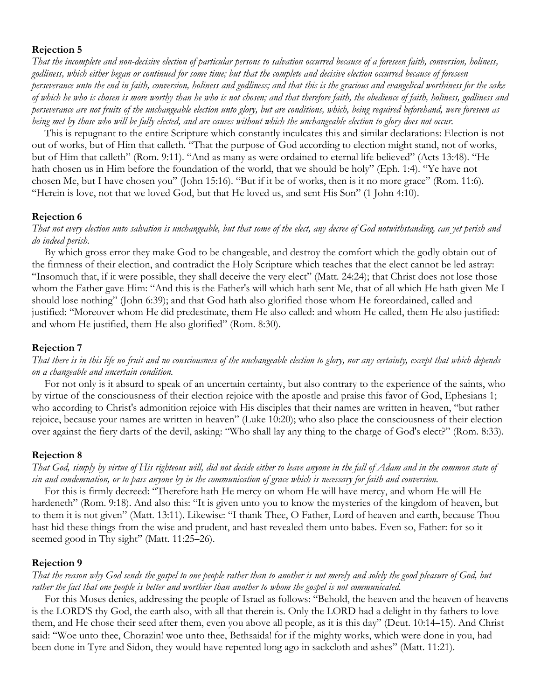### **Rejection 5**

*That the incomplete and non-decisive election of particular persons to salvation occurred because of a foreseen faith, conversion, holiness, godliness, which either began or continued for some time; but that the complete and decisive election occurred because of foreseen perseverance unto the end in faith, conversion, holiness and godliness; and that this is the gracious and evangelical worthiness for the sake of which he who is chosen is more worthy than he who is not chosen; and that therefore faith, the obedience of faith, holiness, godliness and perseverance are not fruits of the unchangeable election unto glory, but are conditions, which, being required beforehand, were foreseen as being met by those who will be fully elected, and are causes without which the unchangeable election to glory does not occur.*

This is repugnant to the entire Scripture which constantly inculcates this and similar declarations: Election is not out of works, but of Him that calleth. "That the purpose of God according to election might stand, not of works, but of Him that calleth" (Rom. 9:11). "And as many as were ordained to eternal life believed" (Acts 13:48). "He hath chosen us in Him before the foundation of the world, that we should be holy" (Eph. 1:4). "Ye have not chosen Me, but I have chosen you" (John 15:16). "But if it be of works, then is it no more grace" (Rom. 11:6). "Herein is love, not that we loved God, but that He loved us, and sent His Son" (1 John 4:10).

#### **Rejection 6**

*That not every election unto salvation is unchangeable, but that some of the elect, any decree of God notwithstanding, can yet perish and do indeed perish.*

By which gross error they make God to be changeable, and destroy the comfort which the godly obtain out of the firmness of their election, and contradict the Holy Scripture which teaches that the elect cannot be led astray: "Insomuch that, if it were possible, they shall deceive the very elect" (Matt. 24:24); that Christ does not lose those whom the Father gave Him: "And this is the Father's will which hath sent Me, that of all which He hath given Me I should lose nothing" (John 6:39); and that God hath also glorified those whom He foreordained, called and justified: "Moreover whom He did predestinate, them He also called: and whom He called, them He also justified: and whom He justified, them He also glorified" (Rom. 8:30).

#### **Rejection 7**

*That there is in this life no fruit and no consciousness of the unchangeable election to glory, nor any certainty, except that which depends on a changeable and uncertain condition.*

For not only is it absurd to speak of an uncertain certainty, but also contrary to the experience of the saints, who by virtue of the consciousness of their election rejoice with the apostle and praise this favor of God, Ephesians 1; who according to Christ's admonition rejoice with His disciples that their names are written in heaven, "but rather rejoice, because your names are written in heaven" (Luke 10:20); who also place the consciousness of their election over against the fiery darts of the devil, asking: "Who shall lay any thing to the charge of God's elect?" (Rom. 8:33).

#### **Rejection 8**

*That God, simply by virtue of His righteous will, did not decide either to leave anyone in the fall of Adam and in the common state of sin and condemnation, or to pass anyone by in the communication of grace which is necessary for faith and conversion.*

For this is firmly decreed: "Therefore hath He mercy on whom He will have mercy, and whom He will He hardeneth" (Rom. 9:18). And also this: "It is given unto you to know the mysteries of the kingdom of heaven, but to them it is not given" (Matt. 13:11). Likewise: "I thank Thee, O Father, Lord of heaven and earth, because Thou hast hid these things from the wise and prudent, and hast revealed them unto babes. Even so, Father: for so it seemed good in Thy sight" (Matt. 11:25–26).

### **Rejection 9**

*That the reason why God sends the gospel to one people rather than to another is not merely and solely the good pleasure of God, but rather the fact that one people is better and worthier than another to whom the gospel is not communicated.*

For this Moses denies, addressing the people of Israel as follows: "Behold, the heaven and the heaven of heavens is the LORD'S thy God, the earth also, with all that therein is. Only the LORD had a delight in thy fathers to love them, and He chose their seed after them, even you above all people, as it is this day" (Deut. 10:14–15). And Christ said: "Woe unto thee, Chorazin! woe unto thee, Bethsaida! for if the mighty works, which were done in you, had been done in Tyre and Sidon, they would have repented long ago in sackcloth and ashes" (Matt. 11:21).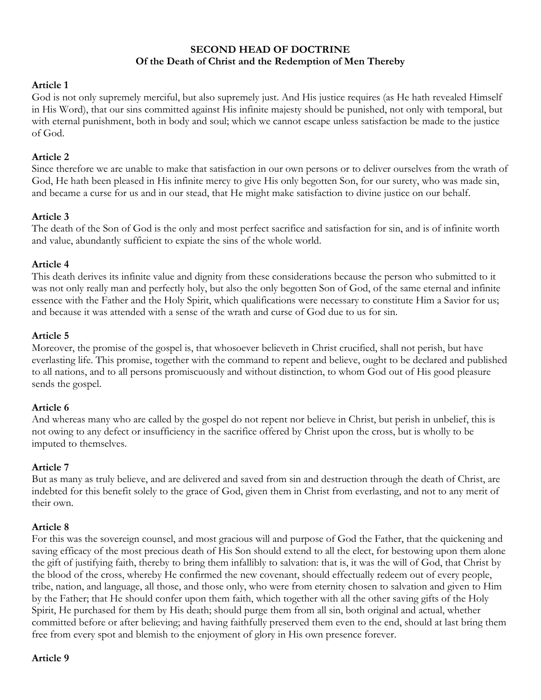## **SECOND HEAD OF DOCTRINE Of the Death of Christ and the Redemption of Men Thereby**

## **Article 1**

God is not only supremely merciful, but also supremely just. And His justice requires (as He hath revealed Himself in His Word), that our sins committed against His infinite majesty should be punished, not only with temporal, but with eternal punishment, both in body and soul; which we cannot escape unless satisfaction be made to the justice of God.

### **Article 2**

Since therefore we are unable to make that satisfaction in our own persons or to deliver ourselves from the wrath of God, He hath been pleased in His infinite mercy to give His only begotten Son, for our surety, who was made sin, and became a curse for us and in our stead, that He might make satisfaction to divine justice on our behalf.

## **Article 3**

The death of the Son of God is the only and most perfect sacrifice and satisfaction for sin, and is of infinite worth and value, abundantly sufficient to expiate the sins of the whole world.

### **Article 4**

This death derives its infinite value and dignity from these considerations because the person who submitted to it was not only really man and perfectly holy, but also the only begotten Son of God, of the same eternal and infinite essence with the Father and the Holy Spirit, which qualifications were necessary to constitute Him a Savior for us; and because it was attended with a sense of the wrath and curse of God due to us for sin.

### **Article 5**

Moreover, the promise of the gospel is, that whosoever believeth in Christ crucified, shall not perish, but have everlasting life. This promise, together with the command to repent and believe, ought to be declared and published to all nations, and to all persons promiscuously and without distinction, to whom God out of His good pleasure sends the gospel.

## **Article 6**

And whereas many who are called by the gospel do not repent nor believe in Christ, but perish in unbelief, this is not owing to any defect or insufficiency in the sacrifice offered by Christ upon the cross, but is wholly to be imputed to themselves.

## **Article 7**

But as many as truly believe, and are delivered and saved from sin and destruction through the death of Christ, are indebted for this benefit solely to the grace of God, given them in Christ from everlasting, and not to any merit of their own.

### **Article 8**

For this was the sovereign counsel, and most gracious will and purpose of God the Father, that the quickening and saving efficacy of the most precious death of His Son should extend to all the elect, for bestowing upon them alone the gift of justifying faith, thereby to bring them infallibly to salvation: that is, it was the will of God, that Christ by the blood of the cross, whereby He confirmed the new covenant, should effectually redeem out of every people, tribe, nation, and language, all those, and those only, who were from eternity chosen to salvation and given to Him by the Father; that He should confer upon them faith, which together with all the other saving gifts of the Holy Spirit, He purchased for them by His death; should purge them from all sin, both original and actual, whether committed before or after believing; and having faithfully preserved them even to the end, should at last bring them free from every spot and blemish to the enjoyment of glory in His own presence forever.

### **Article 9**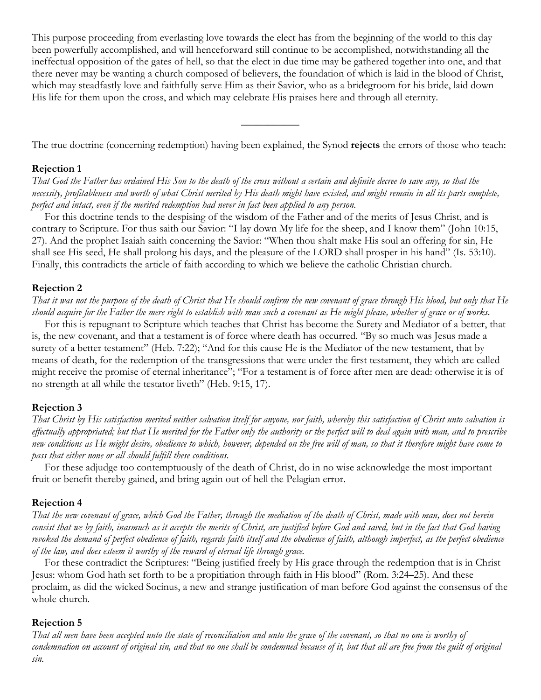This purpose proceeding from everlasting love towards the elect has from the beginning of the world to this day been powerfully accomplished, and will henceforward still continue to be accomplished, notwithstanding all the ineffectual opposition of the gates of hell, so that the elect in due time may be gathered together into one, and that there never may be wanting a church composed of believers, the foundation of which is laid in the blood of Christ, which may steadfastly love and faithfully serve Him as their Savior, who as a bridegroom for his bride, laid down His life for them upon the cross, and which may celebrate His praises here and through all eternity.

The true doctrine (concerning redemption) having been explained, the Synod **rejects** the errors of those who teach:

 $\overline{\phantom{a}}$  , where  $\overline{\phantom{a}}$ 

#### **Rejection 1**

*That God the Father has ordained His Son to the death of the cross without a certain and definite decree to save any, so that the necessity, profitableness and worth of what Christ merited by His death might have existed, and might remain in all its parts complete, perfect and intact, even if the merited redemption had never in fact been applied to any person.*

For this doctrine tends to the despising of the wisdom of the Father and of the merits of Jesus Christ, and is contrary to Scripture. For thus saith our Savior: "I lay down My life for the sheep, and I know them" (John 10:15, 27). And the prophet Isaiah saith concerning the Savior: "When thou shalt make His soul an offering for sin, He shall see His seed, He shall prolong his days, and the pleasure of the LORD shall prosper in his hand" (Is. 53:10). Finally, this contradicts the article of faith according to which we believe the catholic Christian church.

### **Rejection 2**

*That it was not the purpose of the death of Christ that He should confirm the new covenant of grace through His blood, but only that He should acquire for the Father the mere right to establish with man such a covenant as He might please, whether of grace or of works.*

For this is repugnant to Scripture which teaches that Christ has become the Surety and Mediator of a better, that is, the new covenant, and that a testament is of force where death has occurred. "By so much was Jesus made a surety of a better testament" (Heb. 7:22); "And for this cause He is the Mediator of the new testament, that by means of death, for the redemption of the transgressions that were under the first testament, they which are called might receive the promise of eternal inheritance"; "For a testament is of force after men are dead: otherwise it is of no strength at all while the testator liveth" (Heb. 9:15, 17).

## **Rejection 3**

*That Christ by His satisfaction merited neither salvation itself for anyone, nor faith, whereby this satisfaction of Christ unto salvation is effectually appropriated; but that He merited for the Father only the authority or the perfect will to deal again with man, and to prescribe new conditions as He might desire, obedience to which, however, depended on the free will of man, so that it therefore might have come to pass that either none or all should fulfill these conditions.*

For these adjudge too contemptuously of the death of Christ, do in no wise acknowledge the most important fruit or benefit thereby gained, and bring again out of hell the Pelagian error.

#### **Rejection 4**

*That the new covenant of grace, which God the Father, through the mediation of the death of Christ, made with man, does not herein consist that we by faith, inasmuch as it accepts the merits of Christ, are justified before God and saved, but in the fact that God having revoked the demand of perfect obedience of faith, regards faith itself and the obedience of faith, although imperfect, as the perfect obedience of the law, and does esteem it worthy of the reward of eternal life through grace.*

For these contradict the Scriptures: "Being justified freely by His grace through the redemption that is in Christ Jesus: whom God hath set forth to be a propitiation through faith in His blood" (Rom. 3:24–25). And these proclaim, as did the wicked Socinus, a new and strange justification of man before God against the consensus of the whole church.

#### **Rejection 5**

*That all men have been accepted unto the state of reconciliation and unto the grace of the covenant, so that no one is worthy of* condemnation on account of original sin, and that no one shall be condemned because of it, but that all are free from the guilt of original *sin.*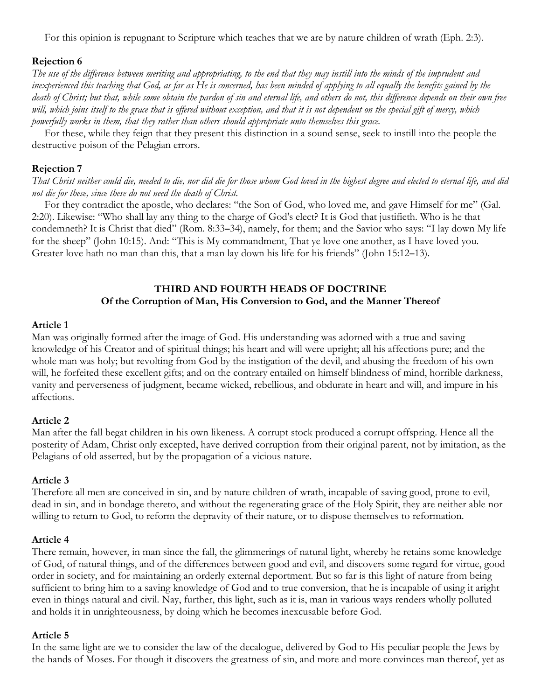For this opinion is repugnant to Scripture which teaches that we are by nature children of wrath (Eph. 2:3).

## **Rejection 6**

*The use of the difference between meriting and appropriating, to the end that they may instill into the minds of the imprudent and inexperienced this teaching that God, as far as He is concerned, has been minded of applying to all equally the benefits gained by the death of Christ; but that, while some obtain the pardon of sin and eternal life, and others do not, this difference depends on their own free*  will, which joins itself to the grace that is offered without exception, and that it is not dependent on the special gift of mercy, which *powerfully works in them, that they rather than others should appropriate unto themselves this grace.*

For these, while they feign that they present this distinction in a sound sense, seek to instill into the people the destructive poison of the Pelagian errors.

## **Rejection 7**

*That Christ neither could die, needed to die, nor did die for those whom God loved in the highest degree and elected to eternal life, and did not die for these, since these do not need the death of Christ.*

For they contradict the apostle, who declares: "the Son of God, who loved me, and gave Himself for me" (Gal. 2:20). Likewise: "Who shall lay any thing to the charge of God's elect? It is God that justifieth. Who is he that condemneth? It is Christ that died" (Rom. 8:33–34), namely, for them; and the Savior who says: "I lay down My life for the sheep" (John 10:15). And: "This is My commandment, That ye love one another, as I have loved you. Greater love hath no man than this, that a man lay down his life for his friends" (John 15:12–13).

# **THIRD AND FOURTH HEADS OF DOCTRINE Of the Corruption of Man, His Conversion to God, and the Manner Thereof**

## **Article 1**

Man was originally formed after the image of God. His understanding was adorned with a true and saving knowledge of his Creator and of spiritual things; his heart and will were upright; all his affections pure; and the whole man was holy; but revolting from God by the instigation of the devil, and abusing the freedom of his own will, he forfeited these excellent gifts; and on the contrary entailed on himself blindness of mind, horrible darkness, vanity and perverseness of judgment, became wicked, rebellious, and obdurate in heart and will, and impure in his affections.

# **Article 2**

Man after the fall begat children in his own likeness. A corrupt stock produced a corrupt offspring. Hence all the posterity of Adam, Christ only excepted, have derived corruption from their original parent, not by imitation, as the Pelagians of old asserted, but by the propagation of a vicious nature.

# **Article 3**

Therefore all men are conceived in sin, and by nature children of wrath, incapable of saving good, prone to evil, dead in sin, and in bondage thereto, and without the regenerating grace of the Holy Spirit, they are neither able nor willing to return to God, to reform the depravity of their nature, or to dispose themselves to reformation.

# **Article 4**

There remain, however, in man since the fall, the glimmerings of natural light, whereby he retains some knowledge of God, of natural things, and of the differences between good and evil, and discovers some regard for virtue, good order in society, and for maintaining an orderly external deportment. But so far is this light of nature from being sufficient to bring him to a saving knowledge of God and to true conversion, that he is incapable of using it aright even in things natural and civil. Nay, further, this light, such as it is, man in various ways renders wholly polluted and holds it in unrighteousness, by doing which he becomes inexcusable before God.

# **Article 5**

In the same light are we to consider the law of the decalogue, delivered by God to His peculiar people the Jews by the hands of Moses. For though it discovers the greatness of sin, and more and more convinces man thereof, yet as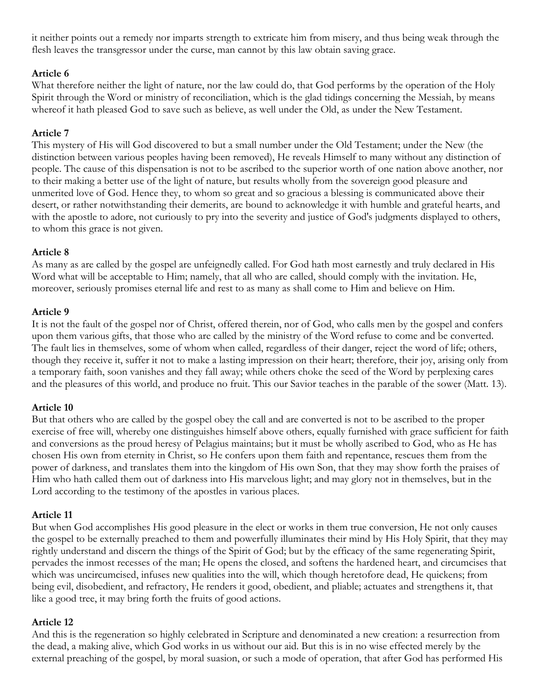it neither points out a remedy nor imparts strength to extricate him from misery, and thus being weak through the flesh leaves the transgressor under the curse, man cannot by this law obtain saving grace.

## **Article 6**

What therefore neither the light of nature, nor the law could do, that God performs by the operation of the Holy Spirit through the Word or ministry of reconciliation, which is the glad tidings concerning the Messiah, by means whereof it hath pleased God to save such as believe, as well under the Old, as under the New Testament.

## **Article 7**

This mystery of His will God discovered to but a small number under the Old Testament; under the New (the distinction between various peoples having been removed), He reveals Himself to many without any distinction of people. The cause of this dispensation is not to be ascribed to the superior worth of one nation above another, nor to their making a better use of the light of nature, but results wholly from the sovereign good pleasure and unmerited love of God. Hence they, to whom so great and so gracious a blessing is communicated above their desert, or rather notwithstanding their demerits, are bound to acknowledge it with humble and grateful hearts, and with the apostle to adore, not curiously to pry into the severity and justice of God's judgments displayed to others, to whom this grace is not given.

## **Article 8**

As many as are called by the gospel are unfeignedly called. For God hath most earnestly and truly declared in His Word what will be acceptable to Him; namely, that all who are called, should comply with the invitation. He, moreover, seriously promises eternal life and rest to as many as shall come to Him and believe on Him.

## **Article 9**

It is not the fault of the gospel nor of Christ, offered therein, nor of God, who calls men by the gospel and confers upon them various gifts, that those who are called by the ministry of the Word refuse to come and be converted. The fault lies in themselves, some of whom when called, regardless of their danger, reject the word of life; others, though they receive it, suffer it not to make a lasting impression on their heart; therefore, their joy, arising only from a temporary faith, soon vanishes and they fall away; while others choke the seed of the Word by perplexing cares and the pleasures of this world, and produce no fruit. This our Savior teaches in the parable of the sower (Matt. 13).

# **Article 10**

But that others who are called by the gospel obey the call and are converted is not to be ascribed to the proper exercise of free will, whereby one distinguishes himself above others, equally furnished with grace sufficient for faith and conversions as the proud heresy of Pelagius maintains; but it must be wholly ascribed to God, who as He has chosen His own from eternity in Christ, so He confers upon them faith and repentance, rescues them from the power of darkness, and translates them into the kingdom of His own Son, that they may show forth the praises of Him who hath called them out of darkness into His marvelous light; and may glory not in themselves, but in the Lord according to the testimony of the apostles in various places.

## **Article 11**

But when God accomplishes His good pleasure in the elect or works in them true conversion, He not only causes the gospel to be externally preached to them and powerfully illuminates their mind by His Holy Spirit, that they may rightly understand and discern the things of the Spirit of God; but by the efficacy of the same regenerating Spirit, pervades the inmost recesses of the man; He opens the closed, and softens the hardened heart, and circumcises that which was uncircumcised, infuses new qualities into the will, which though heretofore dead, He quickens; from being evil, disobedient, and refractory, He renders it good, obedient, and pliable; actuates and strengthens it, that like a good tree, it may bring forth the fruits of good actions.

## **Article 12**

And this is the regeneration so highly celebrated in Scripture and denominated a new creation: a resurrection from the dead, a making alive, which God works in us without our aid. But this is in no wise effected merely by the external preaching of the gospel, by moral suasion, or such a mode of operation, that after God has performed His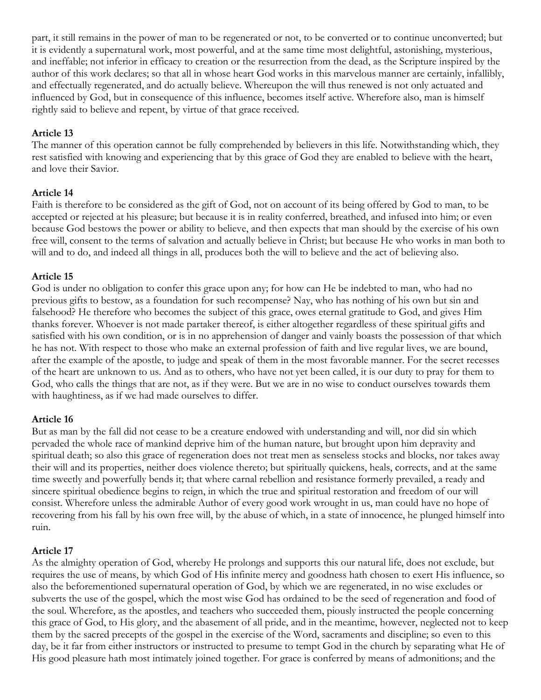part, it still remains in the power of man to be regenerated or not, to be converted or to continue unconverted; but it is evidently a supernatural work, most powerful, and at the same time most delightful, astonishing, mysterious, and ineffable; not inferior in efficacy to creation or the resurrection from the dead, as the Scripture inspired by the author of this work declares; so that all in whose heart God works in this marvelous manner are certainly, infallibly, and effectually regenerated, and do actually believe. Whereupon the will thus renewed is not only actuated and influenced by God, but in consequence of this influence, becomes itself active. Wherefore also, man is himself rightly said to believe and repent, by virtue of that grace received.

## **Article 13**

The manner of this operation cannot be fully comprehended by believers in this life. Notwithstanding which, they rest satisfied with knowing and experiencing that by this grace of God they are enabled to believe with the heart, and love their Savior.

## **Article 14**

Faith is therefore to be considered as the gift of God, not on account of its being offered by God to man, to be accepted or rejected at his pleasure; but because it is in reality conferred, breathed, and infused into him; or even because God bestows the power or ability to believe, and then expects that man should by the exercise of his own free will, consent to the terms of salvation and actually believe in Christ; but because He who works in man both to will and to do, and indeed all things in all, produces both the will to believe and the act of believing also.

# **Article 15**

God is under no obligation to confer this grace upon any; for how can He be indebted to man, who had no previous gifts to bestow, as a foundation for such recompense? Nay, who has nothing of his own but sin and falsehood? He therefore who becomes the subject of this grace, owes eternal gratitude to God, and gives Him thanks forever. Whoever is not made partaker thereof, is either altogether regardless of these spiritual gifts and satisfied with his own condition, or is in no apprehension of danger and vainly boasts the possession of that which he has not. With respect to those who make an external profession of faith and live regular lives, we are bound, after the example of the apostle, to judge and speak of them in the most favorable manner. For the secret recesses of the heart are unknown to us. And as to others, who have not yet been called, it is our duty to pray for them to God, who calls the things that are not, as if they were. But we are in no wise to conduct ourselves towards them with haughtiness, as if we had made ourselves to differ.

## **Article 16**

But as man by the fall did not cease to be a creature endowed with understanding and will, nor did sin which pervaded the whole race of mankind deprive him of the human nature, but brought upon him depravity and spiritual death; so also this grace of regeneration does not treat men as senseless stocks and blocks, nor takes away their will and its properties, neither does violence thereto; but spiritually quickens, heals, corrects, and at the same time sweetly and powerfully bends it; that where carnal rebellion and resistance formerly prevailed, a ready and sincere spiritual obedience begins to reign, in which the true and spiritual restoration and freedom of our will consist. Wherefore unless the admirable Author of every good work wrought in us, man could have no hope of recovering from his fall by his own free will, by the abuse of which, in a state of innocence, he plunged himself into ruin.

## **Article 17**

As the almighty operation of God, whereby He prolongs and supports this our natural life, does not exclude, but requires the use of means, by which God of His infinite mercy and goodness hath chosen to exert His influence, so also the beforementioned supernatural operation of God, by which we are regenerated, in no wise excludes or subverts the use of the gospel, which the most wise God has ordained to be the seed of regeneration and food of the soul. Wherefore, as the apostles, and teachers who succeeded them, piously instructed the people concerning this grace of God, to His glory, and the abasement of all pride, and in the meantime, however, neglected not to keep them by the sacred precepts of the gospel in the exercise of the Word, sacraments and discipline; so even to this day, be it far from either instructors or instructed to presume to tempt God in the church by separating what He of His good pleasure hath most intimately joined together. For grace is conferred by means of admonitions; and the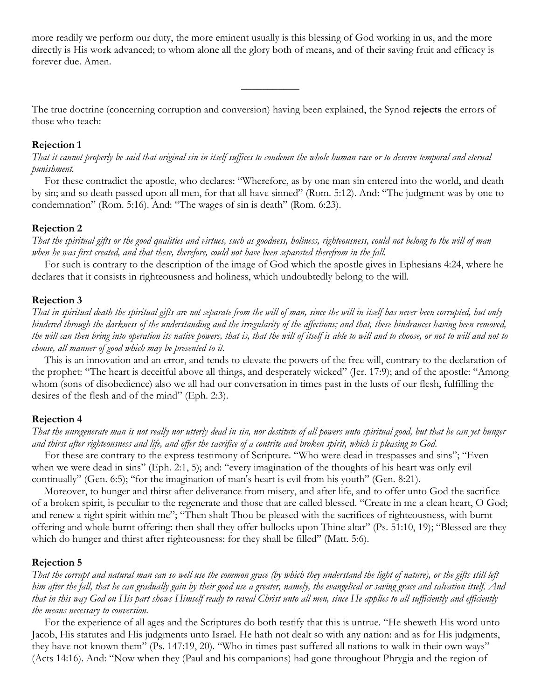more readily we perform our duty, the more eminent usually is this blessing of God working in us, and the more directly is His work advanced; to whom alone all the glory both of means, and of their saving fruit and efficacy is forever due. Amen.

The true doctrine (concerning corruption and conversion) having been explained, the Synod **rejects** the errors of those who teach:

 $\overline{\phantom{a}}$  , where  $\overline{\phantom{a}}$ 

### **Rejection 1**

*That it cannot properly be said that original sin in itself suffices to condemn the whole human race or to deserve temporal and eternal punishment.*

For these contradict the apostle, who declares: "Wherefore, as by one man sin entered into the world, and death by sin; and so death passed upon all men, for that all have sinned" (Rom. 5:12). And: "The judgment was by one to condemnation" (Rom. 5:16). And: "The wages of sin is death" (Rom. 6:23).

### **Rejection 2**

*That the spiritual gifts or the good qualities and virtues, such as goodness, holiness, righteousness, could not belong to the will of man when he was first created, and that these, therefore, could not have been separated therefrom in the fall.*

For such is contrary to the description of the image of God which the apostle gives in Ephesians 4:24, where he declares that it consists in righteousness and holiness, which undoubtedly belong to the will.

### **Rejection 3**

*That in spiritual death the spiritual gifts are not separate from the will of man, since the will in itself has never been corrupted, but only hindered through the darkness of the understanding and the irregularity of the affections; and that, these hindrances having been removed, the will can then bring into operation its native powers, that is, that the will of itself is able to will and to choose, or not to will and not to choose, all manner of good which may be presented to it.*

This is an innovation and an error, and tends to elevate the powers of the free will, contrary to the declaration of the prophet: "The heart is deceitful above all things, and desperately wicked" (Jer. 17:9); and of the apostle: "Among whom (sons of disobedience) also we all had our conversation in times past in the lusts of our flesh, fulfilling the desires of the flesh and of the mind" (Eph. 2:3).

### **Rejection 4**

*That the unregenerate man is not really nor utterly dead in sin, nor destitute of all powers unto spiritual good, but that he can yet hunger and thirst after righteousness and life, and offer the sacrifice of a contrite and broken spirit, which is pleasing to God.*

For these are contrary to the express testimony of Scripture. "Who were dead in trespasses and sins"; "Even when we were dead in sins" (Eph. 2:1, 5); and: "every imagination of the thoughts of his heart was only evil continually" (Gen. 6:5); "for the imagination of man's heart is evil from his youth" (Gen. 8:21).

Moreover, to hunger and thirst after deliverance from misery, and after life, and to offer unto God the sacrifice of a broken spirit, is peculiar to the regenerate and those that are called blessed. "Create in me a clean heart, O God; and renew a right spirit within me"; "Then shalt Thou be pleased with the sacrifices of righteousness, with burnt offering and whole burnt offering: then shall they offer bullocks upon Thine altar" (Ps. 51:10, 19); "Blessed are they which do hunger and thirst after righteousness: for they shall be filled" (Matt. 5:6).

## **Rejection 5**

That the corrupt and natural man can so well use the common grace (by which they understand the light of nature), or the gifts still left *him after the fall, that he can gradually gain by their good use a greater, namely, the evangelical or saving grace and salvation itself. And that in this way God on His part shows Himself ready to reveal Christ unto all men, since He applies to all sufficiently and efficiently the means necessary to conversion.*

For the experience of all ages and the Scriptures do both testify that this is untrue. "He sheweth His word unto Jacob, His statutes and His judgments unto Israel. He hath not dealt so with any nation: and as for His judgments, they have not known them" (Ps. 147:19, 20). "Who in times past suffered all nations to walk in their own ways" (Acts 14:16). And: "Now when they (Paul and his companions) had gone throughout Phrygia and the region of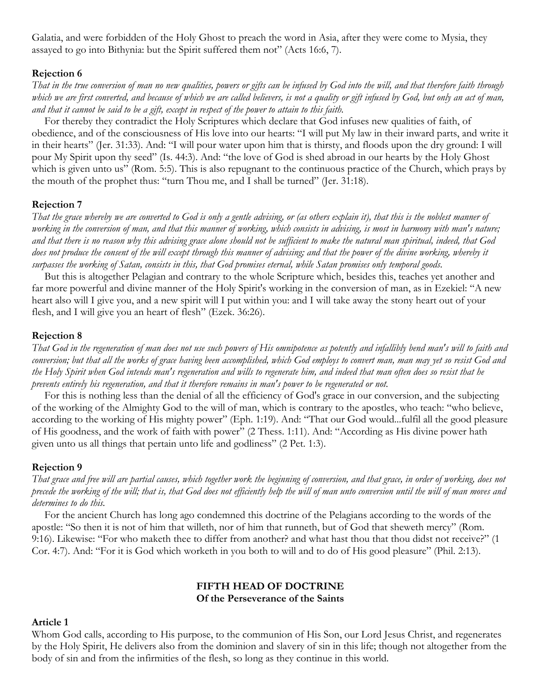Galatia, and were forbidden of the Holy Ghost to preach the word in Asia, after they were come to Mysia, they assayed to go into Bithynia: but the Spirit suffered them not" (Acts 16:6, 7).

### **Rejection 6**

*That in the true conversion of man no new qualities, powers or gifts can be infused by God into the will, and that therefore faith through which we are first converted, and because of which we are called believers, is not a quality or gift infused by God, but only an act of man, and that it cannot be said to be a gift, except in respect of the power to attain to this faith.*

For thereby they contradict the Holy Scriptures which declare that God infuses new qualities of faith, of obedience, and of the consciousness of His love into our hearts: "I will put My law in their inward parts, and write it in their hearts" (Jer. 31:33). And: "I will pour water upon him that is thirsty, and floods upon the dry ground: I will pour My Spirit upon thy seed" (Is. 44:3). And: "the love of God is shed abroad in our hearts by the Holy Ghost which is given unto us" (Rom. 5:5). This is also repugnant to the continuous practice of the Church, which prays by the mouth of the prophet thus: "turn Thou me, and I shall be turned" (Jer. 31:18).

#### **Rejection 7**

*That the grace whereby we are converted to God is only a gentle advising, or (as others explain it), that this is the noblest manner of working in the conversion of man, and that this manner of working, which consists in advising, is most in harmony with man's nature; and that there is no reason why this advising grace alone should not be sufficient to make the natural man spiritual, indeed, that God does not produce the consent of the will except through this manner of advising; and that the power of the divine working, whereby it surpasses the working of Satan, consists in this, that God promises eternal, while Satan promises only temporal goods*.

But this is altogether Pelagian and contrary to the whole Scripture which, besides this, teaches yet another and far more powerful and divine manner of the Holy Spirit's working in the conversion of man, as in Ezekiel: "A new heart also will I give you, and a new spirit will I put within you: and I will take away the stony heart out of your flesh, and I will give you an heart of flesh" (Ezek. 36:26).

#### **Rejection 8**

*That God in the regeneration of man does not use such powers of His omnipotence as potently and infallibly bend man's will to faith and conversion; but that all the works of grace having been accomplished, which God employs to convert man, man may yet so resist God and the Holy Spirit when God intends man's regeneration and wills to regenerate him, and indeed that man often does so resist that he prevents entirely his regeneration, and that it therefore remains in man's power to be regenerated or not.*

For this is nothing less than the denial of all the efficiency of God's grace in our conversion, and the subjecting of the working of the Almighty God to the will of man, which is contrary to the apostles, who teach: "who believe, according to the working of His mighty power" (Eph. 1:19). And: "That our God would...fulfil all the good pleasure of His goodness, and the work of faith with power" (2 Thess. 1:11). And: "According as His divine power hath given unto us all things that pertain unto life and godliness" (2 Pet. 1:3).

### **Rejection 9**

*That grace and free will are partial causes, which together work the beginning of conversion, and that grace, in order of working, does not precede the working of the will; that is, that God does not efficiently help the will of man unto conversion until the will of man moves and determines to do this.*

For the ancient Church has long ago condemned this doctrine of the Pelagians according to the words of the apostle: "So then it is not of him that willeth, nor of him that runneth, but of God that sheweth mercy" (Rom. 9:16). Likewise: "For who maketh thee to differ from another? and what hast thou that thou didst not receive?" (1 Cor. 4:7). And: "For it is God which worketh in you both to will and to do of His good pleasure" (Phil. 2:13).

### **FIFTH HEAD OF DOCTRINE Of the Perseverance of the Saints**

### **Article 1**

Whom God calls, according to His purpose, to the communion of His Son, our Lord Jesus Christ, and regenerates by the Holy Spirit, He delivers also from the dominion and slavery of sin in this life; though not altogether from the body of sin and from the infirmities of the flesh, so long as they continue in this world.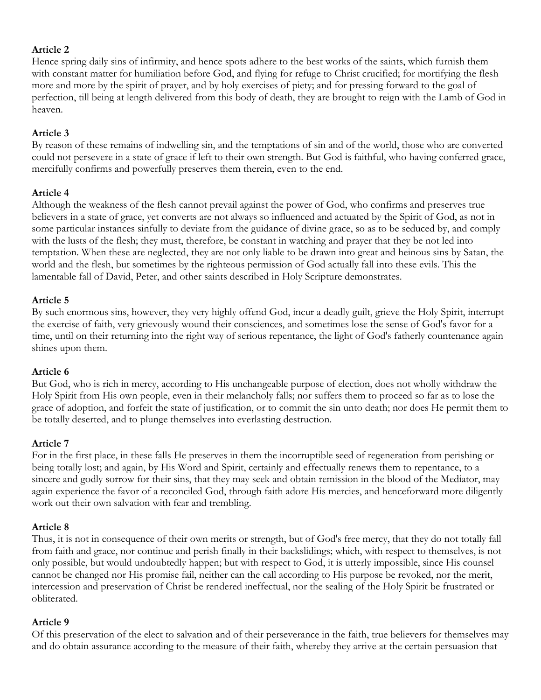## **Article 2**

Hence spring daily sins of infirmity, and hence spots adhere to the best works of the saints, which furnish them with constant matter for humiliation before God, and flying for refuge to Christ crucified; for mortifying the flesh more and more by the spirit of prayer, and by holy exercises of piety; and for pressing forward to the goal of perfection, till being at length delivered from this body of death, they are brought to reign with the Lamb of God in heaven.

## **Article 3**

By reason of these remains of indwelling sin, and the temptations of sin and of the world, those who are converted could not persevere in a state of grace if left to their own strength. But God is faithful, who having conferred grace, mercifully confirms and powerfully preserves them therein, even to the end.

## **Article 4**

Although the weakness of the flesh cannot prevail against the power of God, who confirms and preserves true believers in a state of grace, yet converts are not always so influenced and actuated by the Spirit of God, as not in some particular instances sinfully to deviate from the guidance of divine grace, so as to be seduced by, and comply with the lusts of the flesh; they must, therefore, be constant in watching and prayer that they be not led into temptation. When these are neglected, they are not only liable to be drawn into great and heinous sins by Satan, the world and the flesh, but sometimes by the righteous permission of God actually fall into these evils. This the lamentable fall of David, Peter, and other saints described in Holy Scripture demonstrates.

## **Article 5**

By such enormous sins, however, they very highly offend God, incur a deadly guilt, grieve the Holy Spirit, interrupt the exercise of faith, very grievously wound their consciences, and sometimes lose the sense of God's favor for a time, until on their returning into the right way of serious repentance, the light of God's fatherly countenance again shines upon them.

## **Article 6**

But God, who is rich in mercy, according to His unchangeable purpose of election, does not wholly withdraw the Holy Spirit from His own people, even in their melancholy falls; nor suffers them to proceed so far as to lose the grace of adoption, and forfeit the state of justification, or to commit the sin unto death; nor does He permit them to be totally deserted, and to plunge themselves into everlasting destruction.

## **Article 7**

For in the first place, in these falls He preserves in them the incorruptible seed of regeneration from perishing or being totally lost; and again, by His Word and Spirit, certainly and effectually renews them to repentance, to a sincere and godly sorrow for their sins, that they may seek and obtain remission in the blood of the Mediator, may again experience the favor of a reconciled God, through faith adore His mercies, and henceforward more diligently work out their own salvation with fear and trembling.

## **Article 8**

Thus, it is not in consequence of their own merits or strength, but of God's free mercy, that they do not totally fall from faith and grace, nor continue and perish finally in their backslidings; which, with respect to themselves, is not only possible, but would undoubtedly happen; but with respect to God, it is utterly impossible, since His counsel cannot be changed nor His promise fail, neither can the call according to His purpose be revoked, nor the merit, intercession and preservation of Christ be rendered ineffectual, nor the sealing of the Holy Spirit be frustrated or obliterated.

## **Article 9**

Of this preservation of the elect to salvation and of their perseverance in the faith, true believers for themselves may and do obtain assurance according to the measure of their faith, whereby they arrive at the certain persuasion that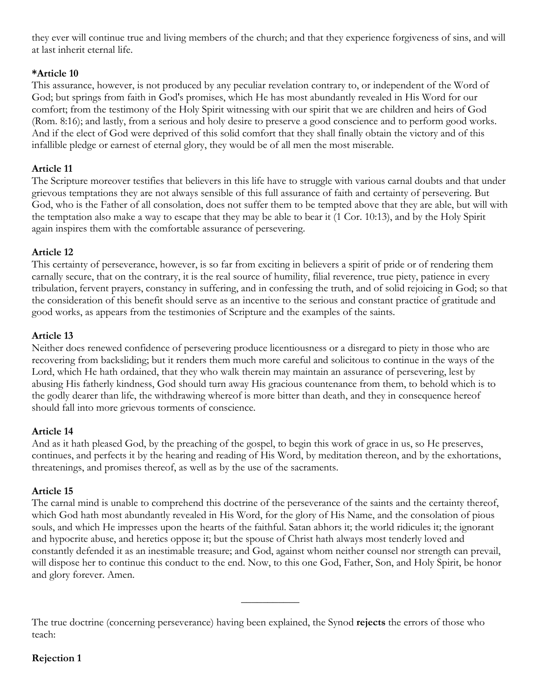they ever will continue true and living members of the church; and that they experience forgiveness of sins, and will at last inherit eternal life.

# **\*Article 10**

This assurance, however, is not produced by any peculiar revelation contrary to, or independent of the Word of God; but springs from faith in God's promises, which He has most abundantly revealed in His Word for our comfort; from the testimony of the Holy Spirit witnessing with our spirit that we are children and heirs of God (Rom. 8:16); and lastly, from a serious and holy desire to preserve a good conscience and to perform good works. And if the elect of God were deprived of this solid comfort that they shall finally obtain the victory and of this infallible pledge or earnest of eternal glory, they would be of all men the most miserable.

# **Article 11**

The Scripture moreover testifies that believers in this life have to struggle with various carnal doubts and that under grievous temptations they are not always sensible of this full assurance of faith and certainty of persevering. But God, who is the Father of all consolation, does not suffer them to be tempted above that they are able, but will with the temptation also make a way to escape that they may be able to bear it (1 Cor. 10:13), and by the Holy Spirit again inspires them with the comfortable assurance of persevering.

# **Article 12**

This certainty of perseverance, however, is so far from exciting in believers a spirit of pride or of rendering them carnally secure, that on the contrary, it is the real source of humility, filial reverence, true piety, patience in every tribulation, fervent prayers, constancy in suffering, and in confessing the truth, and of solid rejoicing in God; so that the consideration of this benefit should serve as an incentive to the serious and constant practice of gratitude and good works, as appears from the testimonies of Scripture and the examples of the saints.

# **Article 13**

Neither does renewed confidence of persevering produce licentiousness or a disregard to piety in those who are recovering from backsliding; but it renders them much more careful and solicitous to continue in the ways of the Lord, which He hath ordained, that they who walk therein may maintain an assurance of persevering, lest by abusing His fatherly kindness, God should turn away His gracious countenance from them, to behold which is to the godly dearer than life, the withdrawing whereof is more bitter than death, and they in consequence hereof should fall into more grievous torments of conscience.

# **Article 14**

And as it hath pleased God, by the preaching of the gospel, to begin this work of grace in us, so He preserves, continues, and perfects it by the hearing and reading of His Word, by meditation thereon, and by the exhortations, threatenings, and promises thereof, as well as by the use of the sacraments.

# **Article 15**

The carnal mind is unable to comprehend this doctrine of the perseverance of the saints and the certainty thereof, which God hath most abundantly revealed in His Word, for the glory of His Name, and the consolation of pious souls, and which He impresses upon the hearts of the faithful. Satan abhors it; the world ridicules it; the ignorant and hypocrite abuse, and heretics oppose it; but the spouse of Christ hath always most tenderly loved and constantly defended it as an inestimable treasure; and God, against whom neither counsel nor strength can prevail, will dispose her to continue this conduct to the end. Now, to this one God, Father, Son, and Holy Spirit, be honor and glory forever. Amen.

 $\overline{\phantom{a}}$  , where  $\overline{\phantom{a}}$ 

The true doctrine (concerning perseverance) having been explained, the Synod **rejects** the errors of those who teach: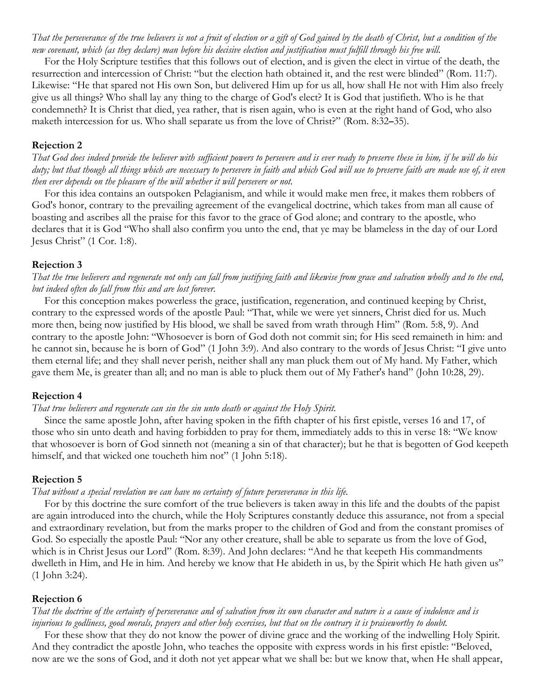*That the perseverance of the true believers is not a fruit of election or a gift of God gained by the death of Christ, but a condition of the new covenant, which (as they declare) man before his decisive election and justification must fulfill through his free will.*

For the Holy Scripture testifies that this follows out of election, and is given the elect in virtue of the death, the resurrection and intercession of Christ: "but the election hath obtained it, and the rest were blinded" (Rom. 11:7). Likewise: "He that spared not His own Son, but delivered Him up for us all, how shall He not with Him also freely give us all things? Who shall lay any thing to the charge of God's elect? It is God that justifieth. Who is he that condemneth? It is Christ that died, yea rather, that is risen again, who is even at the right hand of God, who also maketh intercession for us. Who shall separate us from the love of Christ?" (Rom. 8:32–35).

### **Rejection 2**

*That God does indeed provide the believer with sufficient powers to persevere and is ever ready to preserve these in him, if he will do his duty; but that though all things which are necessary to persevere in faith and which God will use to preserve faith are made use of, it even then ever depends on the pleasure of the will whether it will persevere or not.*

For this idea contains an outspoken Pelagianism, and while it would make men free, it makes them robbers of God's honor, contrary to the prevailing agreement of the evangelical doctrine, which takes from man all cause of boasting and ascribes all the praise for this favor to the grace of God alone; and contrary to the apostle, who declares that it is God "Who shall also confirm you unto the end, that ye may be blameless in the day of our Lord Jesus Christ" (1 Cor. 1:8).

#### **Rejection 3**

*That the true believers and regenerate not only can fall from justifying faith and likewise from grace and salvation wholly and to the end, but indeed often do fall from this and are lost forever.*

For this conception makes powerless the grace, justification, regeneration, and continued keeping by Christ, contrary to the expressed words of the apostle Paul: "That, while we were yet sinners, Christ died for us. Much more then, being now justified by His blood, we shall be saved from wrath through Him" (Rom. 5:8, 9). And contrary to the apostle John: "Whosoever is born of God doth not commit sin; for His seed remaineth in him: and he cannot sin, because he is born of God" (1 John 3:9). And also contrary to the words of Jesus Christ: "I give unto them eternal life; and they shall never perish, neither shall any man pluck them out of My hand. My Father, which gave them Me, is greater than all; and no man is able to pluck them out of My Father's hand" (John 10:28, 29).

#### **Rejection 4**

### *That true believers and regenerate can sin the sin unto death or against the Holy Spirit.*

Since the same apostle John, after having spoken in the fifth chapter of his first epistle, verses 16 and 17, of those who sin unto death and having forbidden to pray for them, immediately adds to this in verse 18: "We know that whosoever is born of God sinneth not (meaning a sin of that character); but he that is begotten of God keepeth himself, and that wicked one toucheth him not" (1 John 5:18).

#### **Rejection 5**

### *That without a special revelation we can have no certainty of future perseverance in this life.*

For by this doctrine the sure comfort of the true believers is taken away in this life and the doubts of the papist are again introduced into the church, while the Holy Scriptures constantly deduce this assurance, not from a special and extraordinary revelation, but from the marks proper to the children of God and from the constant promises of God. So especially the apostle Paul: "Nor any other creature, shall be able to separate us from the love of God, which is in Christ Jesus our Lord" (Rom. 8:39). And John declares: "And he that keepeth His commandments dwelleth in Him, and He in him. And hereby we know that He abideth in us, by the Spirit which He hath given us" (1 John 3:24).

#### **Rejection 6**

*That the doctrine of the certainty of perseverance and of salvation from its own character and nature is a cause of indolence and is injurious to godliness, good morals, prayers and other holy exercises, but that on the contrary it is praiseworthy to doubt.*

For these show that they do not know the power of divine grace and the working of the indwelling Holy Spirit. And they contradict the apostle John, who teaches the opposite with express words in his first epistle: "Beloved, now are we the sons of God, and it doth not yet appear what we shall be: but we know that, when He shall appear,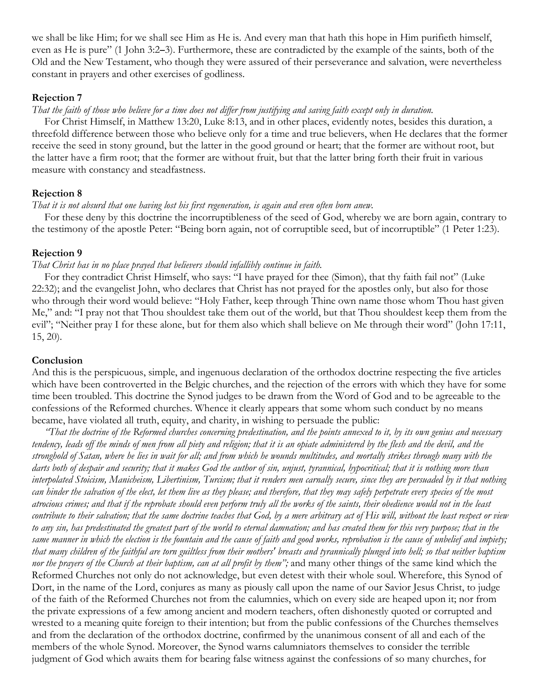we shall be like Him; for we shall see Him as He is. And every man that hath this hope in Him purifieth himself, even as He is pure" (1 John 3:2–3). Furthermore, these are contradicted by the example of the saints, both of the Old and the New Testament, who though they were assured of their perseverance and salvation, were nevertheless constant in prayers and other exercises of godliness.

### **Rejection 7**

### *That the faith of those who believe for a time does not differ from justifying and saving faith except only in duration.*

For Christ Himself, in Matthew 13:20, Luke 8:13, and in other places, evidently notes, besides this duration, a threefold difference between those who believe only for a time and true believers, when He declares that the former receive the seed in stony ground, but the latter in the good ground or heart; that the former are without root, but the latter have a firm root; that the former are without fruit, but that the latter bring forth their fruit in various measure with constancy and steadfastness.

### **Rejection 8**

### *That it is not absurd that one having lost his first regeneration, is again and even often born anew.*

For these deny by this doctrine the incorruptibleness of the seed of God, whereby we are born again, contrary to the testimony of the apostle Peter: "Being born again, not of corruptible seed, but of incorruptible" (1 Peter 1:23).

## **Rejection 9**

### *That Christ has in no place prayed that believers should infallibly continue in faith.*

For they contradict Christ Himself, who says: "I have prayed for thee (Simon), that thy faith fail not" (Luke 22:32); and the evangelist John, who declares that Christ has not prayed for the apostles only, but also for those who through their word would believe: "Holy Father, keep through Thine own name those whom Thou hast given Me," and: "I pray not that Thou shouldest take them out of the world, but that Thou shouldest keep them from the evil"; "Neither pray I for these alone, but for them also which shall believe on Me through their word" (John 17:11, 15, 20).

### **Conclusion**

And this is the perspicuous, simple, and ingenuous declaration of the orthodox doctrine respecting the five articles which have been controverted in the Belgic churches, and the rejection of the errors with which they have for some time been troubled. This doctrine the Synod judges to be drawn from the Word of God and to be agreeable to the confessions of the Reformed churches. Whence it clearly appears that some whom such conduct by no means became, have violated all truth, equity, and charity, in wishing to persuade the public:

*"That the doctrine of the Reformed churches concerning predestination, and the points annexed to it, by its own genius and necessary tendency, leads off the minds of men from all piety and religion; that it is an opiate administered by the flesh and the devil, and the stronghold of Satan, where he lies in wait for all; and from which he wounds multitudes, and mortally strikes through many with the darts both of despair and security; that it makes God the author of sin, unjust, tyrannical, hypocritical; that it is nothing more than interpolated Stoicism, Manicheism, Libertinism, Turcism; that it renders men carnally secure, since they are persuaded by it that nothing can hinder the salvation of the elect, let them live as they please; and therefore, that they may safely perpetrate every species of the most atrocious crimes; and that if the reprobate should even perform truly all the works of the saints, their obedience would not in the least contribute to their salvation; that the same doctrine teaches that God, by a mere arbitrary act of His will, without the least respect or view to any sin, has predestinated the greatest part of the world to eternal damnation; and has created them for this very purpose; that in the*  same manner in which the election is the fountain and the cause of faith and good works, reprobation is the cause of unbelief and impiety; *that many children of the faithful are torn guiltless from their mothers' breasts and tyrannically plunged into hell; so that neither baptism nor the prayers of the Church at their baptism, can at all profit by them";* and many other things of the same kind which the Reformed Churches not only do not acknowledge, but even detest with their whole soul. Wherefore, this Synod of Dort, in the name of the Lord, conjures as many as piously call upon the name of our Savior Jesus Christ, to judge of the faith of the Reformed Churches not from the calumnies, which on every side are heaped upon it; nor from the private expressions of a few among ancient and modern teachers, often dishonestly quoted or corrupted and wrested to a meaning quite foreign to their intention; but from the public confessions of the Churches themselves and from the declaration of the orthodox doctrine, confirmed by the unanimous consent of all and each of the members of the whole Synod. Moreover, the Synod warns calumniators themselves to consider the terrible judgment of God which awaits them for bearing false witness against the confessions of so many churches, for